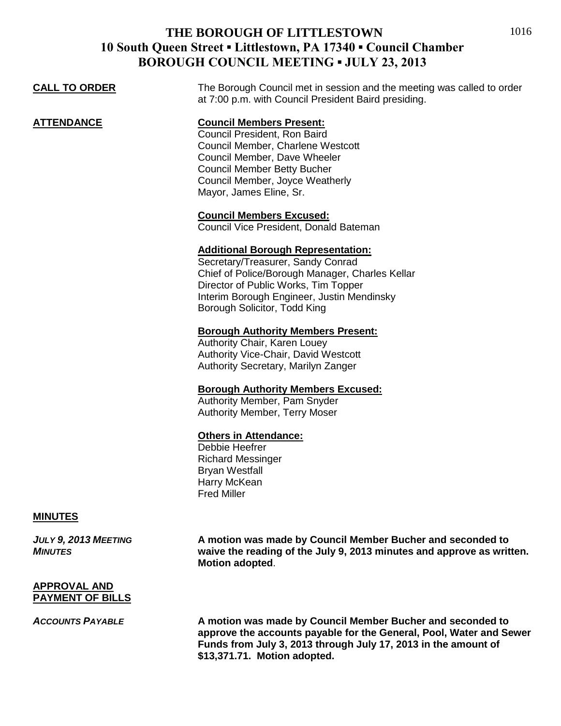1016

| DONOUGH COUNCIL MEETHNG - JULIT 49, 2019 |                                                                                                                                                                                                                                                         |
|------------------------------------------|---------------------------------------------------------------------------------------------------------------------------------------------------------------------------------------------------------------------------------------------------------|
| <b>CALL TO ORDER</b>                     | The Borough Council met in session and the meeting was called to order<br>at 7:00 p.m. with Council President Baird presiding.                                                                                                                          |
| <b>ATTENDANCE</b>                        | <b>Council Members Present:</b><br>Council President, Ron Baird<br>Council Member, Charlene Westcott<br>Council Member, Dave Wheeler<br><b>Council Member Betty Bucher</b><br>Council Member, Joyce Weatherly<br>Mayor, James Eline, Sr.                |
|                                          | <b>Council Members Excused:</b><br>Council Vice President, Donald Bateman                                                                                                                                                                               |
|                                          | <b>Additional Borough Representation:</b><br>Secretary/Treasurer, Sandy Conrad<br>Chief of Police/Borough Manager, Charles Kellar<br>Director of Public Works, Tim Topper<br>Interim Borough Engineer, Justin Mendinsky<br>Borough Solicitor, Todd King |
|                                          | <b>Borough Authority Members Present:</b><br>Authority Chair, Karen Louey<br>Authority Vice-Chair, David Westcott<br>Authority Secretary, Marilyn Zanger                                                                                                |
|                                          | <b>Borough Authority Members Excused:</b><br>Authority Member, Pam Snyder<br><b>Authority Member, Terry Moser</b>                                                                                                                                       |
|                                          | <b>Others in Attendance:</b><br>Debbie Heefrer<br><b>Richard Messinger</b><br><b>Bryan Westfall</b><br>Harry McKean                                                                                                                                     |

Fred Miller

#### **MINUTES**

*JULY 9, 2013 MEETING* **A motion was made by Council Member Bucher and seconded to** *MINUTES* **waive the reading of the July 9, 2013 minutes and approve as written. Motion adopted**.

#### **APPROVAL AND PAYMENT OF BILLS**

*ACCOUNTS PAYABLE* **A motion was made by Council Member Bucher and seconded to approve the accounts payable for the General, Pool, Water and Sewer Funds from July 3, 2013 through July 17, 2013 in the amount of \$13,371.71. Motion adopted.**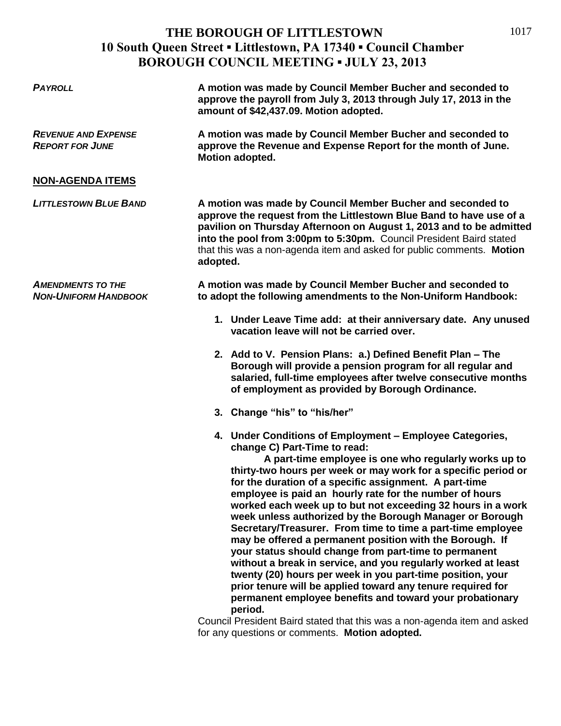| <b>PAYROLL</b>                                          | A motion was made by Council Member Bucher and seconded to<br>approve the payroll from July 3, 2013 through July 17, 2013 in the<br>amount of \$42,437.09. Motion adopted.                                                                                                                                                                                                                                                                                                                                                                                                                                                                              |
|---------------------------------------------------------|---------------------------------------------------------------------------------------------------------------------------------------------------------------------------------------------------------------------------------------------------------------------------------------------------------------------------------------------------------------------------------------------------------------------------------------------------------------------------------------------------------------------------------------------------------------------------------------------------------------------------------------------------------|
| <b>REVENUE AND EXPENSE</b><br><b>REPORT FOR JUNE</b>    | A motion was made by Council Member Bucher and seconded to<br>approve the Revenue and Expense Report for the month of June.<br>Motion adopted.                                                                                                                                                                                                                                                                                                                                                                                                                                                                                                          |
| <b>NON-AGENDA ITEMS</b>                                 |                                                                                                                                                                                                                                                                                                                                                                                                                                                                                                                                                                                                                                                         |
| <b>LITTLESTOWN BLUE BAND</b>                            | A motion was made by Council Member Bucher and seconded to<br>approve the request from the Littlestown Blue Band to have use of a<br>pavilion on Thursday Afternoon on August 1, 2013 and to be admitted<br>into the pool from 3:00pm to 5:30pm. Council President Baird stated<br>that this was a non-agenda item and asked for public comments. Motion<br>adopted.                                                                                                                                                                                                                                                                                    |
| <b>AMENDMENTS TO THE</b><br><b>NON-UNIFORM HANDBOOK</b> | A motion was made by Council Member Bucher and seconded to<br>to adopt the following amendments to the Non-Uniform Handbook:                                                                                                                                                                                                                                                                                                                                                                                                                                                                                                                            |
|                                                         | 1. Under Leave Time add: at their anniversary date. Any unused<br>vacation leave will not be carried over.                                                                                                                                                                                                                                                                                                                                                                                                                                                                                                                                              |
|                                                         | 2. Add to V. Pension Plans: a.) Defined Benefit Plan - The<br>Borough will provide a pension program for all regular and<br>salaried, full-time employees after twelve consecutive months<br>of employment as provided by Borough Ordinance.                                                                                                                                                                                                                                                                                                                                                                                                            |
|                                                         | 3. Change "his" to "his/her"                                                                                                                                                                                                                                                                                                                                                                                                                                                                                                                                                                                                                            |
|                                                         | 4. Under Conditions of Employment - Employee Categories,<br>change C) Part-Time to read:<br>A part-time employee is one who regularly works up to<br>thirty-two hours per week or may work for a specific period or<br>for the duration of a specific assignment. A part-time<br>employee is paid an hourly rate for the number of hours<br>worked each week up to but not exceeding 32 hours in a work<br>week unless authorized by the Borough Manager or Borough<br>Secretary/Treasurer. From time to time a part-time employee<br>may be offered a permanent position with the Borough. If<br>your status should change from part-time to permanent |

**your status should change from part-time to permanent without a break in service, and you regularly worked at least twenty (20) hours per week in you part-time position, your prior tenure will be applied toward any tenure required for permanent employee benefits and toward your probationary period.** 

Council President Baird stated that this was a non-agenda item and asked for any questions or comments. **Motion adopted.**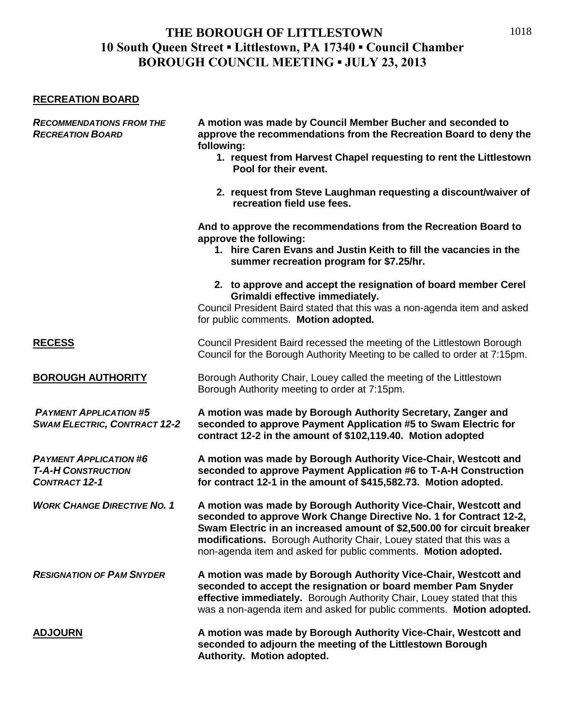#### **RECREATION BOARD**

| <b>RECOMMENDATIONS FROM THE</b><br><b>RECREATION BOARD</b>                         | A motion was made by Council Member Bucher and seconded to<br>approve the recommendations from the Recreation Board to deny the<br>following:<br>1. request from Harvest Chapel requesting to rent the Littlestown<br>Pool for their event.                                                                                                               |
|------------------------------------------------------------------------------------|-----------------------------------------------------------------------------------------------------------------------------------------------------------------------------------------------------------------------------------------------------------------------------------------------------------------------------------------------------------|
|                                                                                    | 2. request from Steve Laughman requesting a discount/waiver of<br>recreation field use fees.                                                                                                                                                                                                                                                              |
|                                                                                    | And to approve the recommendations from the Recreation Board to<br>approve the following:<br>1. hire Caren Evans and Justin Keith to fill the vacancies in the<br>summer recreation program for \$7.25/hr.                                                                                                                                                |
|                                                                                    | 2. to approve and accept the resignation of board member Cerel<br>Grimaldi effective immediately.<br>Council President Baird stated that this was a non-agenda item and asked<br>for public comments. Motion adopted.                                                                                                                                     |
| <b>RECESS</b>                                                                      | Council President Baird recessed the meeting of the Littlestown Borough<br>Council for the Borough Authority Meeting to be called to order at 7:15pm.                                                                                                                                                                                                     |
| <b>BOROUGH AUTHORITY</b>                                                           | Borough Authority Chair, Louey called the meeting of the Littlestown<br>Borough Authority meeting to order at 7:15pm.                                                                                                                                                                                                                                     |
| <b>PAYMENT APPLICATION #5</b><br><b>SWAM ELECTRIC, CONTRACT 12-2</b>               | A motion was made by Borough Authority Secretary, Zanger and<br>seconded to approve Payment Application #5 to Swam Electric for<br>contract 12-2 in the amount of \$102,119.40. Motion adopted                                                                                                                                                            |
| <b>PAYMENT APPLICATION #6</b><br><b>T-A-H CONSTRUCTION</b><br><b>CONTRACT 12-1</b> | A motion was made by Borough Authority Vice-Chair, Westcott and<br>seconded to approve Payment Application #6 to T-A-H Construction<br>for contract 12-1 in the amount of \$415,582.73. Motion adopted.                                                                                                                                                   |
| <b>WORK CHANGE DIRECTIVE NO. 1</b>                                                 | A motion was made by Borough Authority Vice-Chair, Westcott and<br>seconded to approve Work Change Directive No. 1 for Contract 12-2,<br>Swam Electric in an increased amount of \$2,500.00 for circuit breaker<br>modifications. Borough Authority Chair, Louey stated that this was a<br>non-agenda item and asked for public comments. Motion adopted. |
| <b>RESIGNATION OF PAM SNYDER</b>                                                   | A motion was made by Borough Authority Vice-Chair, Westcott and<br>seconded to accept the resignation or board member Pam Snyder<br>effective immediately. Borough Authority Chair, Louey stated that this<br>was a non-agenda item and asked for public comments. Motion adopted.                                                                        |
| <b>ADJOURN</b>                                                                     | A motion was made by Borough Authority Vice-Chair, Westcott and<br>seconded to adjourn the meeting of the Littlestown Borough<br>Authority. Motion adopted.                                                                                                                                                                                               |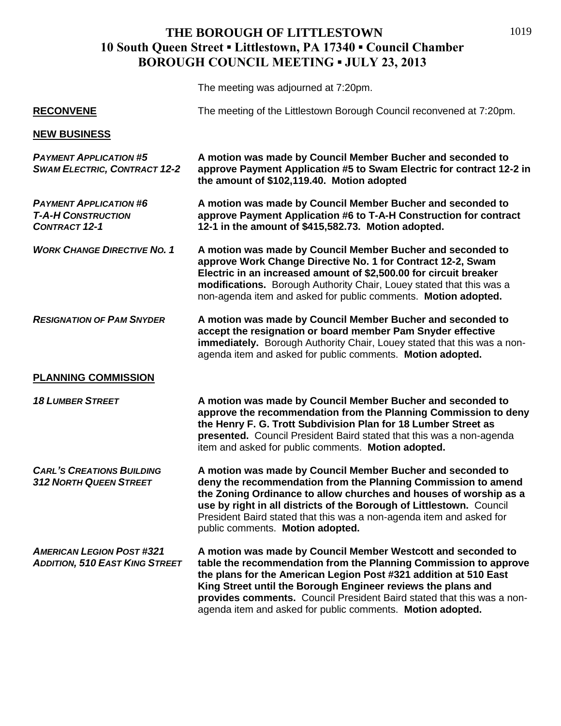The meeting was adjourned at 7:20pm.

| <b>RECONVENE</b>                                                                   | The meeting of the Littlestown Borough Council reconvened at 7:20pm.                                                                                                                                                                                                                                                                                                                                         |
|------------------------------------------------------------------------------------|--------------------------------------------------------------------------------------------------------------------------------------------------------------------------------------------------------------------------------------------------------------------------------------------------------------------------------------------------------------------------------------------------------------|
| <b>NEW BUSINESS</b>                                                                |                                                                                                                                                                                                                                                                                                                                                                                                              |
| <b>PAYMENT APPLICATION #5</b><br><b>SWAM ELECTRIC, CONTRACT 12-2</b>               | A motion was made by Council Member Bucher and seconded to<br>approve Payment Application #5 to Swam Electric for contract 12-2 in<br>the amount of \$102,119.40. Motion adopted                                                                                                                                                                                                                             |
| <b>PAYMENT APPLICATION #6</b><br><b>T-A-H CONSTRUCTION</b><br><b>CONTRACT 12-1</b> | A motion was made by Council Member Bucher and seconded to<br>approve Payment Application #6 to T-A-H Construction for contract<br>12-1 in the amount of \$415,582.73. Motion adopted.                                                                                                                                                                                                                       |
| <b>WORK CHANGE DIRECTIVE NO. 1</b>                                                 | A motion was made by Council Member Bucher and seconded to<br>approve Work Change Directive No. 1 for Contract 12-2, Swam<br>Electric in an increased amount of \$2,500.00 for circuit breaker<br>modifications. Borough Authority Chair, Louey stated that this was a<br>non-agenda item and asked for public comments. Motion adopted.                                                                     |
| <b>RESIGNATION OF PAM SNYDER</b>                                                   | A motion was made by Council Member Bucher and seconded to<br>accept the resignation or board member Pam Snyder effective<br>immediately. Borough Authority Chair, Louey stated that this was a non-<br>agenda item and asked for public comments. Motion adopted.                                                                                                                                           |
| <b>PLANNING COMMISSION</b>                                                         |                                                                                                                                                                                                                                                                                                                                                                                                              |
| <b>18 LUMBER STREET</b>                                                            | A motion was made by Council Member Bucher and seconded to<br>approve the recommendation from the Planning Commission to deny<br>the Henry F. G. Trott Subdivision Plan for 18 Lumber Street as<br>presented. Council President Baird stated that this was a non-agenda<br>item and asked for public comments. Motion adopted.                                                                               |
| <b>CARL'S CREATIONS BUILDING</b><br><b>312 NORTH QUEEN STREET</b>                  | A motion was made by Council Member Bucher and seconded to<br>deny the recommendation from the Planning Commission to amend<br>the Zoning Ordinance to allow churches and houses of worship as a<br>use by right in all districts of the Borough of Littlestown. Council<br>President Baird stated that this was a non-agenda item and asked for<br>public comments. Motion adopted.                         |
| <b>AMERICAN LEGION POST #321</b><br><b>ADDITION, 510 EAST KING STREET</b>          | A motion was made by Council Member Westcott and seconded to<br>table the recommendation from the Planning Commission to approve<br>the plans for the American Legion Post #321 addition at 510 East<br>King Street until the Borough Engineer reviews the plans and<br>provides comments. Council President Baird stated that this was a non-<br>agenda item and asked for public comments. Motion adopted. |